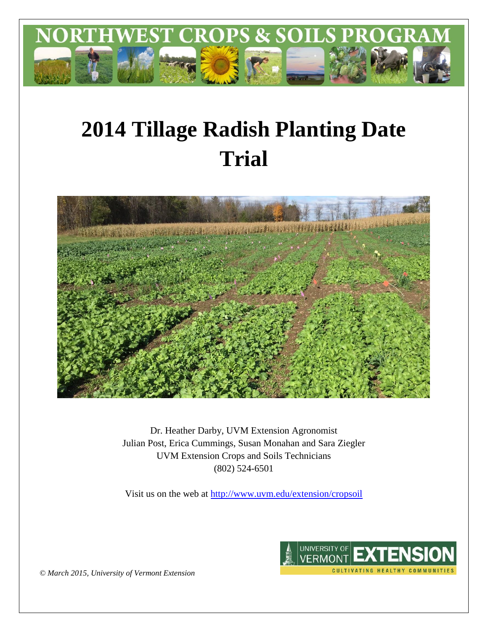

# **2014 Tillage Radish Planting Date Trial**



Dr. Heather Darby, UVM Extension Agronomist Julian Post, Erica Cummings, Susan Monahan and Sara Ziegler UVM Extension Crops and Soils Technicians (802) 524-6501

Visit us on the web at<http://www.uvm.edu/extension/cropsoil>



*© March 2015, University of Vermont Extension*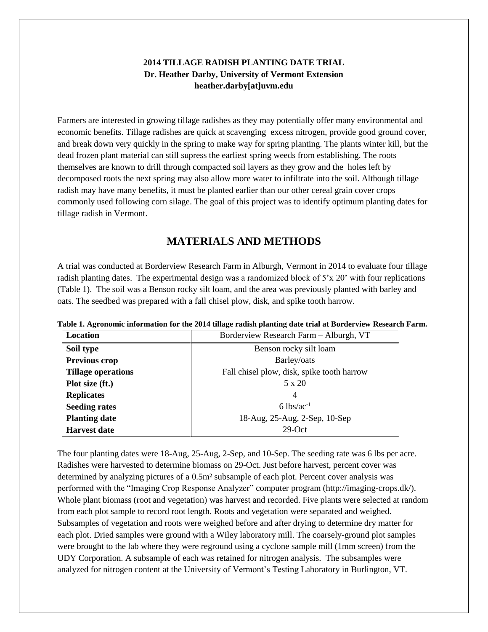## **2014 TILLAGE RADISH PLANTING DATE TRIAL Dr. Heather Darby, University of Vermont Extension heather.darby[at]uvm.edu**

Farmers are interested in growing tillage radishes as they may potentially offer many environmental and economic benefits. Tillage radishes are quick at scavenging excess nitrogen, provide good ground cover, and break down very quickly in the spring to make way for spring planting. The plants winter kill, but the dead frozen plant material can still supress the earliest spring weeds from establishing. The roots themselves are known to drill through compacted soil layers as they grow and the holes left by decomposed roots the next spring may also allow more water to infiltrate into the soil. Although tillage radish may have many benefits, it must be planted earlier than our other cereal grain cover crops commonly used following corn silage. The goal of this project was to identify optimum planting dates for tillage radish in Vermont.

# **MATERIALS AND METHODS**

A trial was conducted at Borderview Research Farm in Alburgh, Vermont in 2014 to evaluate four tillage radish planting dates. The experimental design was a randomized block of 5'x 20' with four replications (Table 1). The soil was a Benson rocky silt loam, and the area was previously planted with barley and oats. The seedbed was prepared with a fall chisel plow, disk, and spike tooth harrow.

| Location                  | Borderview Research Farm - Alburgh, VT     |  |  |
|---------------------------|--------------------------------------------|--|--|
| Soil type                 | Benson rocky silt loam                     |  |  |
| <b>Previous crop</b>      | Barley/oats                                |  |  |
| <b>Tillage operations</b> | Fall chisel plow, disk, spike tooth harrow |  |  |
| Plot size (ft.)           | 5 x 20                                     |  |  |
| <b>Replicates</b>         | $\overline{4}$                             |  |  |
| <b>Seeding rates</b>      | $6 \text{ lbs/ac}^{-1}$                    |  |  |
| <b>Planting date</b>      | 18-Aug, 25-Aug, 2-Sep, 10-Sep              |  |  |
| <b>Harvest date</b>       | $29$ -Oct                                  |  |  |

**Table 1. Agronomic information for the 2014 tillage radish planting date trial at Borderview Research Farm.**

The four planting dates were 18-Aug, 25-Aug, 2-Sep, and 10-Sep. The seeding rate was 6 lbs per acre. Radishes were harvested to determine biomass on 29-Oct. Just before harvest, percent cover was determined by analyzing pictures of a 0.5m² subsample of each plot. Percent cover analysis was performed with the "Imaging Crop Response Analyzer" computer program (http://imaging-crops.dk/). Whole plant biomass (root and vegetation) was harvest and recorded. Five plants were selected at random from each plot sample to record root length. Roots and vegetation were separated and weighed. Subsamples of vegetation and roots were weighed before and after drying to determine dry matter for each plot. Dried samples were ground with a Wiley laboratory mill. The coarsely-ground plot samples were brought to the lab where they were reground using a cyclone sample mill (1mm screen) from the UDY Corporation. A subsample of each was retained for nitrogen analysis. The subsamples were analyzed for nitrogen content at the University of Vermont's Testing Laboratory in Burlington, VT.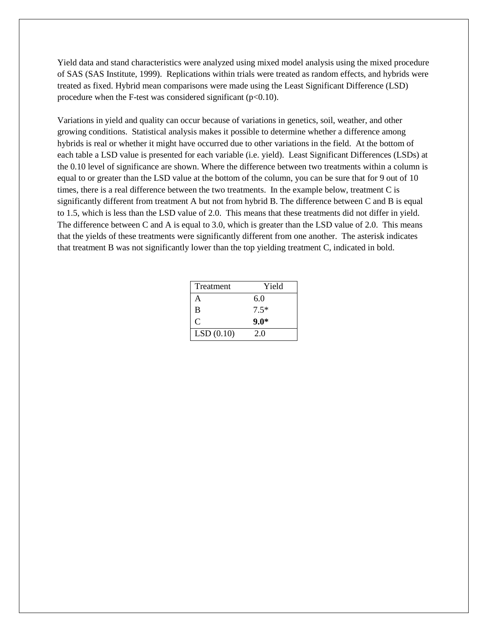Yield data and stand characteristics were analyzed using mixed model analysis using the mixed procedure of SAS (SAS Institute, 1999). Replications within trials were treated as random effects, and hybrids were treated as fixed. Hybrid mean comparisons were made using the Least Significant Difference (LSD) procedure when the F-test was considered significant  $(p<0.10)$ .

Variations in yield and quality can occur because of variations in genetics, soil, weather, and other growing conditions. Statistical analysis makes it possible to determine whether a difference among hybrids is real or whether it might have occurred due to other variations in the field. At the bottom of each table a LSD value is presented for each variable (i.e. yield). Least Significant Differences (LSDs) at the 0.10 level of significance are shown. Where the difference between two treatments within a column is equal to or greater than the LSD value at the bottom of the column, you can be sure that for 9 out of 10 times, there is a real difference between the two treatments. In the example below, treatment C is significantly different from treatment A but not from hybrid B. The difference between C and B is equal to 1.5, which is less than the LSD value of 2.0. This means that these treatments did not differ in yield. The difference between C and A is equal to 3.0, which is greater than the LSD value of 2.0. This means that the yields of these treatments were significantly different from one another. The asterisk indicates that treatment B was not significantly lower than the top yielding treatment C, indicated in bold.

| Treatment | Yield  |  |
|-----------|--------|--|
| А         | 6.0    |  |
| B         | $7.5*$ |  |
| C         | $9.0*$ |  |
| LSD(0.10) | 2.0    |  |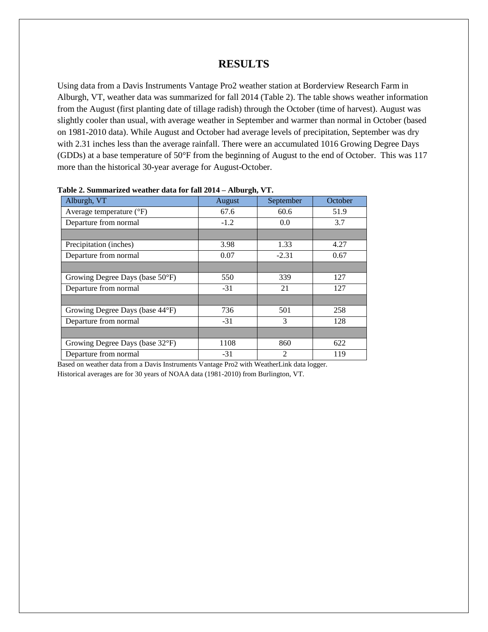## **RESULTS**

Using data from a Davis Instruments Vantage Pro2 weather station at Borderview Research Farm in Alburgh, VT, weather data was summarized for fall 2014 (Table 2). The table shows weather information from the August (first planting date of tillage radish) through the October (time of harvest). August was slightly cooler than usual, with average weather in September and warmer than normal in October (based on 1981-2010 data). While August and October had average levels of precipitation, September was dry with 2.31 inches less than the average rainfall. There were an accumulated 1016 Growing Degree Days (GDDs) at a base temperature of 50°F from the beginning of August to the end of October. This was 117 more than the historical 30-year average for August-October.

| Alburgh, VT                       | August | September      | October |
|-----------------------------------|--------|----------------|---------|
| Average temperature $(^{\circ}F)$ | 67.6   | 60.6           | 51.9    |
| Departure from normal             | $-1.2$ | 0.0            | 3.7     |
|                                   |        |                |         |
| Precipitation (inches)            | 3.98   | 1.33           | 4.27    |
| Departure from normal             | 0.07   | $-2.31$        | 0.67    |
|                                   |        |                |         |
| Growing Degree Days (base 50°F)   | 550    | 339            | 127     |
| Departure from normal             | $-31$  | 21             | 127     |
|                                   |        |                |         |
| Growing Degree Days (base 44°F)   | 736    | 501            | 258     |
| Departure from normal             | $-31$  | $\mathcal{R}$  | 128     |
|                                   |        |                |         |
| Growing Degree Days (base 32°F)   | 1108   | 860            | 622     |
| Departure from normal             | $-31$  | $\overline{2}$ | 119     |

#### **Table 2. Summarized weather data for fall 2014 – Alburgh, VT.**

Based on weather data from a Davis Instruments Vantage Pro2 with WeatherLink data logger. Historical averages are for 30 years of NOAA data (1981-2010) from Burlington, VT.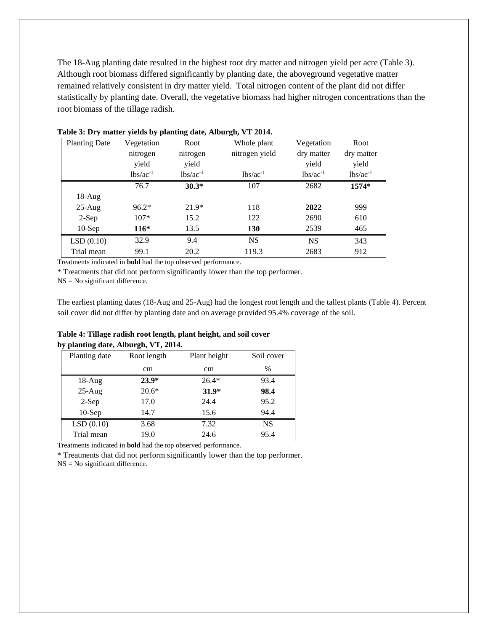The 18-Aug planting date resulted in the highest root dry matter and nitrogen yield per acre (Table 3). Although root biomass differed significantly by planting date, the aboveground vegetative matter remained relatively consistent in dry matter yield. Total nitrogen content of the plant did not differ statistically by planting date. Overall, the vegetative biomass had higher nitrogen concentrations than the root biomass of the tillage radish.

| <b>Planting Date</b> | Vegetation    | Root          | Whole plant    | Vegetation    | Root          |
|----------------------|---------------|---------------|----------------|---------------|---------------|
|                      | nitrogen      | nitrogen      | nitrogen yield | dry matter    | dry matter    |
|                      | yield         | yield         |                | yield         | yield         |
|                      | $lbs/ac^{-1}$ | $lbs/ac^{-1}$ | $lbs/ac^{-1}$  | $lbs/ac^{-1}$ | $lbs/ac^{-1}$ |
|                      | 76.7          | $30.3*$       | 107            | 2682          | 1574*         |
| $18-Aug$             |               |               |                |               |               |
| $25-Aug$             | $96.2*$       | $21.9*$       | 118            | 2822          | 999           |
| $2-Sep$              | $107*$        | 15.2          | 122            | 2690          | 610           |
| $10-$ Sep            | $116*$        | 13.5          | 130            | 2539          | 465           |
| LSD(0.10)            | 32.9          | 9.4           | <b>NS</b>      | <b>NS</b>     | 343           |
| Trial mean           | 99.1          | 20.2          | 119.3          | 2683          | 912           |

## **Table 3: Dry matter yields by planting date, Alburgh, VT 2014.**

Treatments indicated in **bold** had the top observed performance.

\* Treatments that did not perform significantly lower than the top performer.

 $NS = No$  significant difference.

The earliest planting dates (18-Aug and 25-Aug) had the longest root length and the tallest plants (Table 4). Percent soil cover did not differ by planting date and on average provided 95.4% coverage of the soil.

### **Table 4: Tillage radish root length, plant height, and soil cover by planting date, Alburgh, VT, 2014.**

| Planting date | Root length | Plant height | Soil cover |
|---------------|-------------|--------------|------------|
|               | cm          | cm           | $\%$       |
| $18-Aug$      | $23.9*$     | $26.4*$      | 93.4       |
| $25-Aug$      | $20.6*$     | $31.9*$      | 98.4       |
| $2-Sep$       | 17.0        | 24.4         | 95.2       |
| $10-$ Sep     | 14.7        | 15.6         | 94.4       |
| LSD(0.10)     | 3.68        | 7.32         | <b>NS</b>  |
| Trial mean    | 19.0        | 24.6         | 95.4       |
|               |             |              |            |

Treatments indicated in **bold** had the top observed performance.

\* Treatments that did not perform significantly lower than the top performer.

NS = No significant difference.